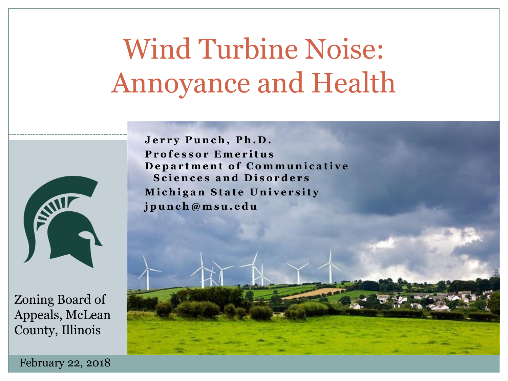# Wind Turbine Noise: Annoyance and Health



Zoning Board of Appeals, McLean County, Illinois

Jerry Punch, Ph.D. **P r o f e s s o r E m e r i t u s** Department of Communicative Sciences and Disorders **Michigan State University j p u n c h @ m s u . e d u**

February 22, 2018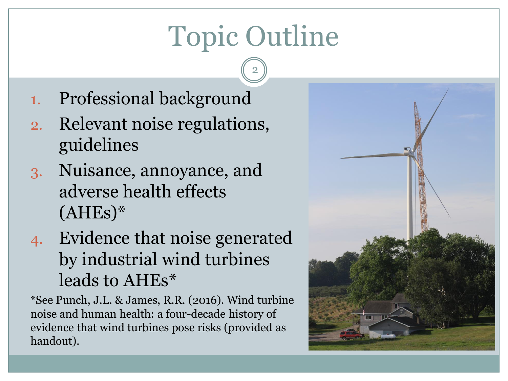# Topic Outline

2

- 1. Professional background
- 2. Relevant noise regulations, guidelines
- 3. Nuisance, annoyance, and adverse health effects  $(AHEs)*$
- 4. Evidence that noise generated by industrial wind turbines leads to AHEs\*

\*See Punch, J.L. & James, R.R. (2016). Wind turbine noise and human health: a four-decade history of evidence that wind turbines pose risks (provided as handout).

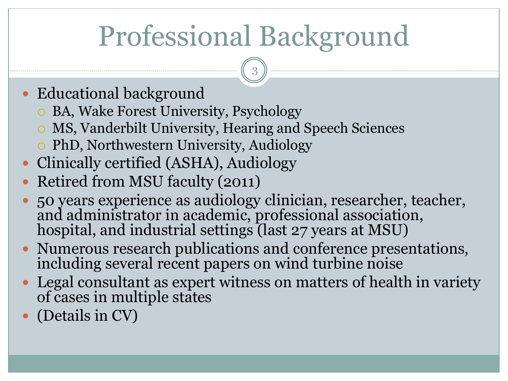# Professional Background

- Educational background
	- BA, Wake Forest University, Psychology
	- MS, Vanderbilt University, Hearing and Speech Sciences
	- PhD, Northwestern University, Audiology
- Clinically certified (ASHA), Audiology
- Retired from MSU faculty (2011)
- 50 years experience as audiology clinician, researcher, teacher, and administrator in academic, professional association, hospital, and industrial settings (last 27 years at MSU)
- Numerous research publications and conference presentations, including several recent papers on wind turbine noise
- Legal consultant as expert witness on matters of health in variety of cases in multiple states
- (Details in CV)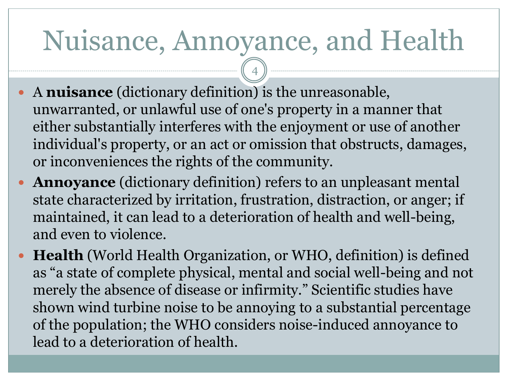# Nuisance, Annoyance, and Health

- A **nuisance** (dictionary definition) is the unreasonable, unwarranted, or unlawful use of one's property in a manner that either substantially interferes with the enjoyment or use of another individual's property, or an act or omission that obstructs, damages, or inconveniences the rights of the community.
- **Annoyance** (dictionary definition) refers to an unpleasant mental state characterized by irritation, frustration, distraction, or anger; if maintained, it can lead to a deterioration of health and well-being, and even to violence.
- **Health** (World Health Organization, or WHO, definition) is defined as "a state of complete physical, mental and social well-being and not merely the absence of disease or infirmity." Scientific studies have shown wind turbine noise to be annoying to a substantial percentage of the population; the WHO considers noise-induced annoyance to lead to a deterioration of health.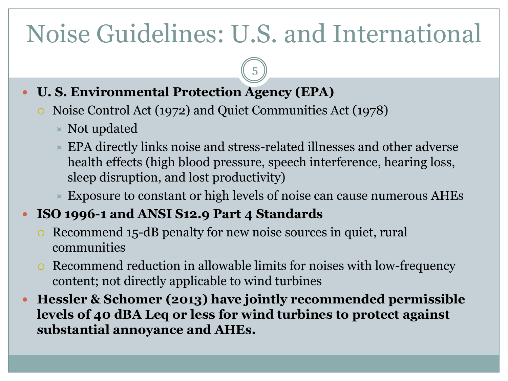## Noise Guidelines: U.S. and International

5

#### **U. S. Environmental Protection Agency (EPA)**

- Noise Control Act (1972) and Quiet Communities Act (1978)
	- $\triangle$  Not updated
	- EPA directly links noise and stress-related illnesses and other adverse health effects (high blood pressure, speech interference, hearing loss, sleep disruption, and lost productivity)
	- Exposure to constant or high levels of noise can cause numerous AHEs

#### **ISO 1996-1 and ANSI S12.9 Part 4 Standards**

- Recommend 15-dB penalty for new noise sources in quiet, rural communities
- Recommend reduction in allowable limits for noises with low-frequency content; not directly applicable to wind turbines
- **Hessler & Schomer (2013) have jointly recommended permissible levels of 40 dBA Leq or less for wind turbines to protect against substantial annoyance and AHEs.**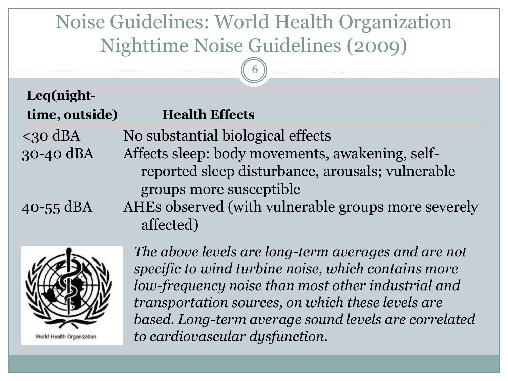### Noise Guidelines: World Health Organization Nighttime Noise Guidelines (2009)

6

| 1( M<br>lgr<br>u L |
|--------------------|

| time, outside) | <b>Health Effects</b>                               |
|----------------|-----------------------------------------------------|
| $<$ 30 dBA     | No substantial biological effects                   |
| 30-40 dBA      | Affects sleep: body movements, awakening, self-     |
|                | reported sleep disturbance, arousals; vulnerable    |
|                | groups more susceptible                             |
| $40 - 55$ dBA  | AHEs observed (with vulnerable groups more severely |
|                | affected)                                           |



World Health Organization

*The above levels are long-term averages and are not specific to wind turbine noise, which contains more low-frequency noise than most other industrial and transportation sources, on which these levels are based. Long-term average sound levels are correlated to cardiovascular dysfunction.*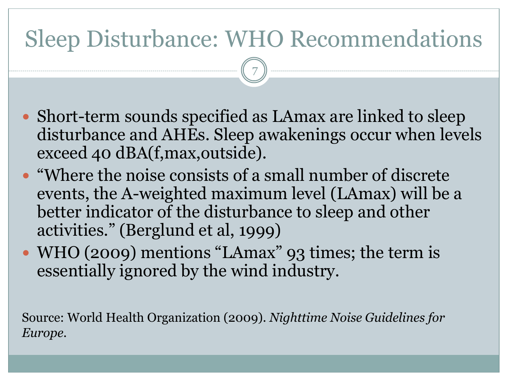## Sleep Disturbance: WHO Recommendations

7

- Short-term sounds specified as LAmax are linked to sleep disturbance and AHEs. Sleep awakenings occur when levels exceed 40 dBA(f,max,outside).
- "Where the noise consists of a small number of discrete events, the A-weighted maximum level (LAmax) will be a better indicator of the disturbance to sleep and other activities." (Berglund et al, 1999)
- WHO (2009) mentions "LAmax" 93 times; the term is essentially ignored by the wind industry.

Source: World Health Organization (2009). *Nighttime Noise Guidelines for Europe.*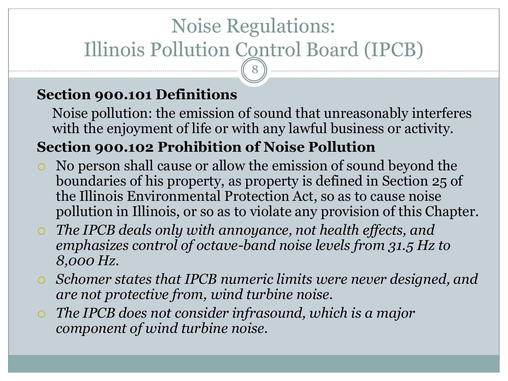### Noise Regulations: Illinois Pollution Control Board (IPCB) 8

#### **Section 900.101 Definitions**

Noise pollution: the emission of sound that unreasonably interferes with the enjoyment of life or with any lawful business or activity.

#### **Section 900.102 Prohibition of Noise Pollution**

- No person shall cause or allow the emission of sound beyond the boundaries of his property, as property is defined in Section 25 of the Illinois Environmental Protection Act, so as to cause noise pollution in Illinois, or so as to violate any provision of this Chapter.
- *The IPCB deals only with annoyance, not health effects, and emphasizes control of octave-band noise levels from 31.5 Hz to 8,000 Hz.*
- *Schomer states that IPCB numeric limits were never designed, and are not protective from, wind turbine noise.*
- *The IPCB does not consider infrasound, which is a major component of wind turbine noise.*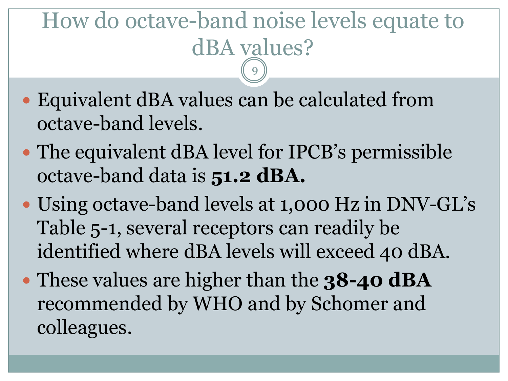### How do octave-band noise levels equate to dBA values? 9

- Equivalent dBA values can be calculated from octave-band levels.
- The equivalent dBA level for IPCB's permissible octave-band data is **51.2 dBA.**
- Using octave-band levels at 1,000 Hz in DNV-GL's Table 5-1, several receptors can readily be identified where dBA levels will exceed 40 dBA.
- These values are higher than the **38-40 dBA**  recommended by WHO and by Schomer and colleagues.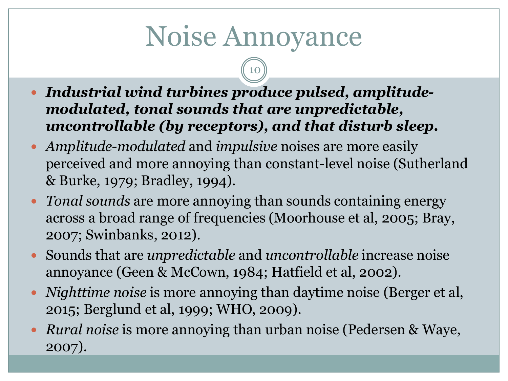# Noise Annoyance

- *Industrial wind turbines produce pulsed, amplitudemodulated, tonal sounds that are unpredictable, uncontrollable (by receptors), and that disturb sleep.*
- *Amplitude-modulated* and *impulsive* noises are more easily perceived and more annoying than constant-level noise (Sutherland & Burke, 1979; Bradley, 1994).
- *Tonal sounds* are more annoying than sounds containing energy across a broad range of frequencies (Moorhouse et al, 2005; Bray, 2007; Swinbanks, 2012).
- Sounds that are *unpredictable* and *uncontrollable* increase noise annoyance (Geen & McCown, 1984; Hatfield et al, 2002).
- *Nighttime noise* is more annoying than daytime noise (Berger et al, 2015; Berglund et al, 1999; WHO, 2009).
- *Rural noise* is more annoying than urban noise (Pedersen & Waye, 2007).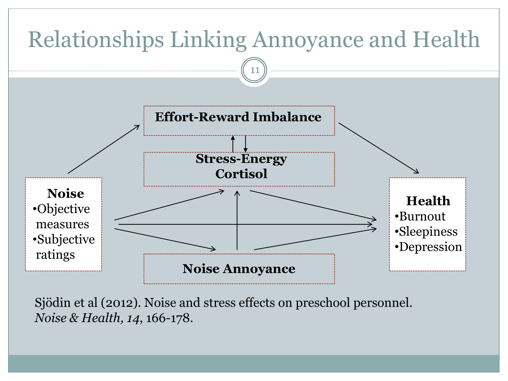

Sjödin et al (2012). Noise and stress effects on preschool personnel. *Noise & Health, 14*, 166-178.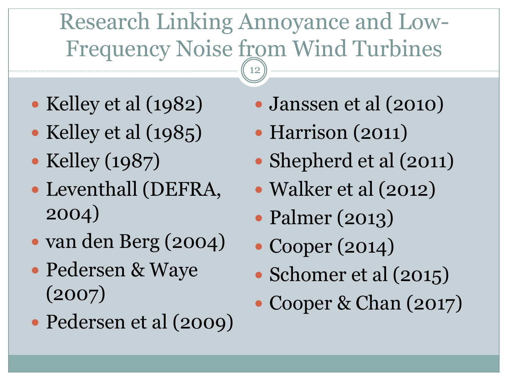## Research Linking Annoyance and Low-Frequency Noise from Wind Turbines

- Kelley et al (1982)
- Kelley et al  $(1985)$
- Kelley (1987)
- Leventhall (DEFRA, 2004)
- van den Berg (2004)
- Pedersen & Waye (2007)
- Pedersen et al (2009)
- Janssen et al (2010)
- Harrison (2011)
- Shepherd et al (2011)
- Walker et al (2012)
- Palmer (2013)
- Cooper (2014)
- Schomer et al (2015)
- Cooper & Chan (2017)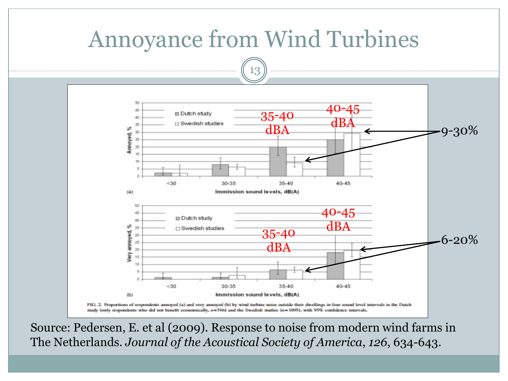

Source: Pedersen, E. et al (2009). Response to noise from modern wind farms in The Netherlands. *Journal of the Acoustical Society of America*, *126*, 634-643.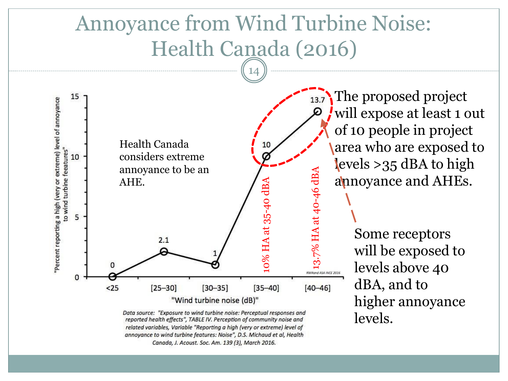### Annoyance from Wind Turbine Noise: Health Canada (2016)

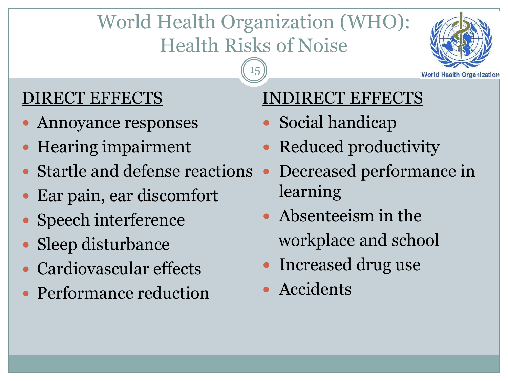### World Health Organization (WHO): Health Risks of Noise

15



### DIRECT EFFECTS

- Annoyance responses
- Hearing impairment
- Startle and defense reactions
- Ear pain, ear discomfort
- Speech interference
- Sleep disturbance
- Cardiovascular effects
- Performance reduction

#### INDIRECT EFFECTS

- Social handicap
- Reduced productivity
- Decreased performance in learning
- Absenteeism in the workplace and school
- Increased drug use
- Accidents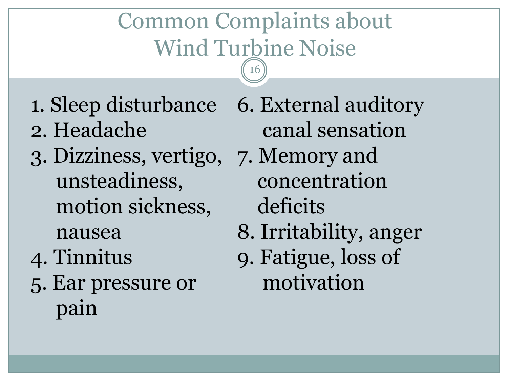## Common Complaints about Wind Turbine Noise

16

- 1. Sleep disturbance 6. External auditory 2. Headache
- 3. Dizziness, vertigo, 7. Memory and unsteadiness, motion sickness, nausea
- 4. Tinnitus
- 5. Ear pressure or pain

canal sensation concentration deficits 8. Irritability, anger 9. Fatigue, loss of motivation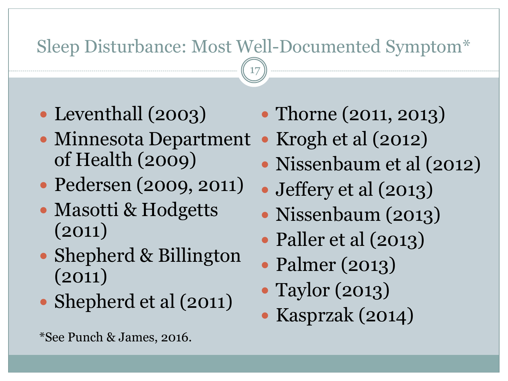### Sleep Disturbance: Most Well-Documented Symptom\*

- Leventhall (2003)
- Minnesota Department of Health (2009)
- Pedersen (2009, 2011)
- Masotti & Hodgetts (2011)
- Shepherd & Billington (2011)
- Shepherd et al (2011)
- Thorne (2011, 2013)
- Krogh et al  $(2012)$
- Nissenbaum et al (2012)
- Jeffery et al (2013)
- Nissenbaum (2013)
- Paller et al (2013)
- Palmer (2013)
- Taylor (2013)
- Kasprzak (2014)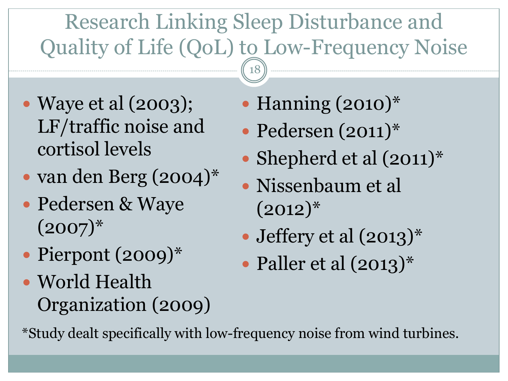## Research Linking Sleep Disturbance and Quality of Life (QoL) to Low-Frequency Noise

18

- Waye et al (2003); LF/traffic noise and cortisol levels
- van den Berg (2004)\*
- Pedersen & Waye  $(2007)^{*}$
- Pierpont (2009)\*
- World Health Organization (2009)
- Hanning (2010)\*
- Pedersen (2011)\*
- Shepherd et al  $(2011)^*$
- Nissenbaum et al  $(2012)^{*}$
- Jeffery et al  $(2013)^*$
- Paller et al  $(2013)^*$

\*Study dealt specifically with low-frequency noise from wind turbines.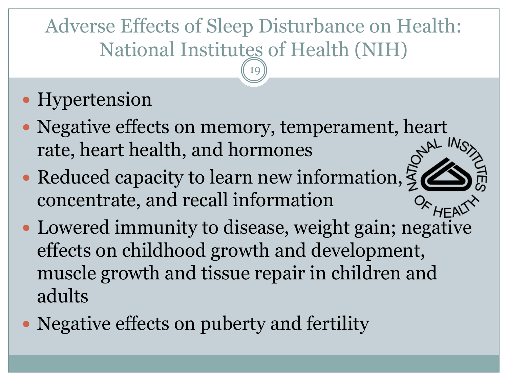### Adverse Effects of Sleep Disturbance on Health: National Institutes of Health (NIH)

19

### • Hypertension

- Negative effects on memory, temperament, heart rate, heart health, and hormones
- Reduced capacity to learn new information,  $\zeta$ concentrate, and recall information
- Lowered immunity to disease, weight gain; negative effects on childhood growth and development, muscle growth and tissue repair in children and adults
- Negative effects on puberty and fertility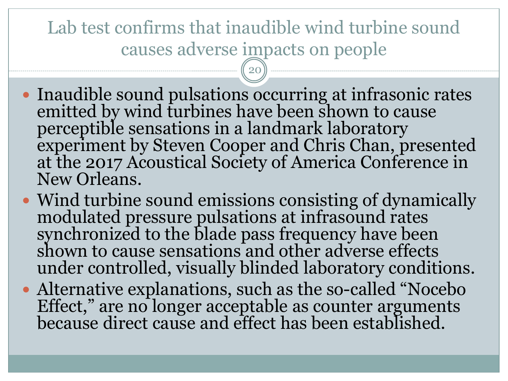Lab test confirms that inaudible wind turbine sound causes adverse impacts on people

- Inaudible sound pulsations occurring at infrasonic rates emitted by wind turbines have been shown to cause perceptible sensations in a landmark laboratory experiment by Steven Cooper and Chris Chan, presented at the 2017 Acoustical Society of America Conference in New Orleans.
- Wind turbine sound emissions consisting of dynamically modulated pressure pulsations at infrasound rates synchronized to the blade pass frequency have been shown to cause sensations and other adverse effects under controlled, visually blinded laboratory conditions.
- Alternative explanations, such as the so-called "Nocebo Effect," are no longer acceptable as counter arguments because direct cause and effect has been established.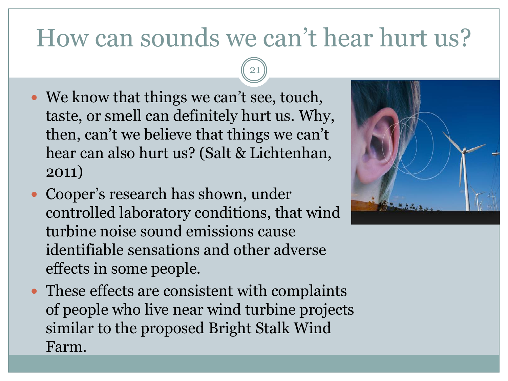## How can sounds we can't hear hurt us?

- We know that things we can't see, touch, taste, or smell can definitely hurt us. Why, then, can't we believe that things we can't hear can also hurt us? (Salt & Lichtenhan, 2011)
- Cooper's research has shown, under controlled laboratory conditions, that wind turbine noise sound emissions cause identifiable sensations and other adverse effects in some people.
- These effects are consistent with complaints of people who live near wind turbine projects similar to the proposed Bright Stalk Wind Farm.